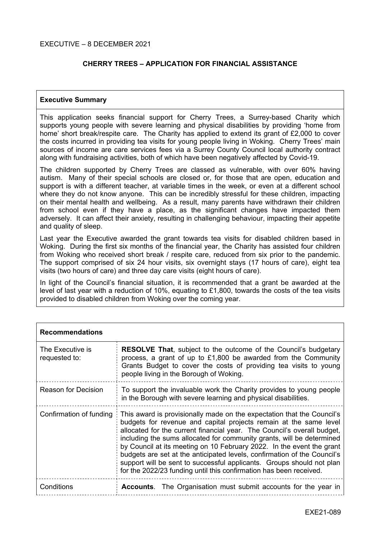# **CHERRY TREES – APPLICATION FOR FINANCIAL ASSISTANCE**

## **Executive Summary**

This application seeks financial support for Cherry Trees, a Surrey-based Charity which supports young people with severe learning and physical disabilities by providing 'home from home' short break/respite care. The Charity has applied to extend its grant of £2,000 to cover the costs incurred in providing tea visits for young people living in Woking. Cherry Trees' main sources of income are care services fees via a Surrey County Council local authority contract along with fundraising activities, both of which have been negatively affected by Covid-19.

The children supported by Cherry Trees are classed as vulnerable, with over 60% having autism. Many of their special schools are closed or, for those that are open, education and support is with a different teacher, at variable times in the week, or even at a different school where they do not know anyone. This can be incredibly stressful for these children, impacting on their mental health and wellbeing. As a result, many parents have withdrawn their children from school even if they have a place, as the significant changes have impacted them adversely. It can affect their anxiety, resulting in challenging behaviour, impacting their appetite and quality of sleep.

Last year the Executive awarded the grant towards tea visits for disabled children based in Woking. During the first six months of the financial year, the Charity has assisted four children from Woking who received short break / respite care, reduced from six prior to the pandemic. The support comprised of six 24 hour visits, six overnight stays (17 hours of care), eight tea visits (two hours of care) and three day care visits (eight hours of care).

In light of the Council's financial situation, it is recommended that a grant be awarded at the level of last year with a reduction of 10%, equating to £1,800, towards the costs of the tea visits provided to disabled children from Woking over the coming year.

| <b>Recommendations</b>            |                                                                                                                                                                                                                                                                                                                                                                                                                                                                                                                                                                                                     |
|-----------------------------------|-----------------------------------------------------------------------------------------------------------------------------------------------------------------------------------------------------------------------------------------------------------------------------------------------------------------------------------------------------------------------------------------------------------------------------------------------------------------------------------------------------------------------------------------------------------------------------------------------------|
| The Executive is<br>requested to: | <b>RESOLVE That, subject to the outcome of the Council's budgetary</b><br>process, a grant of up to £1,800 be awarded from the Community<br>Grants Budget to cover the costs of providing tea visits to young<br>people living in the Borough of Woking.                                                                                                                                                                                                                                                                                                                                            |
| <b>Reason for Decision</b>        | To support the invaluable work the Charity provides to young people<br>in the Borough with severe learning and physical disabilities.                                                                                                                                                                                                                                                                                                                                                                                                                                                               |
| Confirmation of funding           | This award is provisionally made on the expectation that the Council's<br>budgets for revenue and capital projects remain at the same level<br>allocated for the current financial year. The Council's overall budget,<br>including the sums allocated for community grants, will be determined<br>by Council at its meeting on 10 February 2022. In the event the grant<br>budgets are set at the anticipated levels, confirmation of the Council's<br>support will be sent to successful applicants. Groups should not plan<br>for the 2022/23 funding until this confirmation has been received. |
| Conditions                        | <b>Accounts.</b> The Organisation must submit accounts for the year in                                                                                                                                                                                                                                                                                                                                                                                                                                                                                                                              |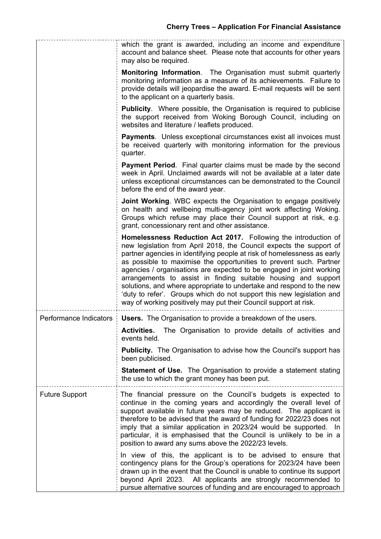|                        | which the grant is awarded, including an income and expenditure<br>account and balance sheet. Please note that accounts for other years<br>may also be required.                                                                                                                                                                                                                                                                                                                                                                                                                                                                                      |
|------------------------|-------------------------------------------------------------------------------------------------------------------------------------------------------------------------------------------------------------------------------------------------------------------------------------------------------------------------------------------------------------------------------------------------------------------------------------------------------------------------------------------------------------------------------------------------------------------------------------------------------------------------------------------------------|
|                        | <b>Monitoring Information.</b> The Organisation must submit quarterly<br>monitoring information as a measure of its achievements. Failure to<br>provide details will jeopardise the award. E-mail requests will be sent<br>to the applicant on a quarterly basis.                                                                                                                                                                                                                                                                                                                                                                                     |
|                        | <b>Publicity.</b> Where possible, the Organisation is required to publicise<br>the support received from Woking Borough Council, including on<br>websites and literature / leaflets produced.                                                                                                                                                                                                                                                                                                                                                                                                                                                         |
|                        | <b>Payments.</b> Unless exceptional circumstances exist all invoices must<br>be received quarterly with monitoring information for the previous<br>quarter.                                                                                                                                                                                                                                                                                                                                                                                                                                                                                           |
|                        | <b>Payment Period.</b> Final quarter claims must be made by the second<br>week in April. Unclaimed awards will not be available at a later date<br>unless exceptional circumstances can be demonstrated to the Council<br>before the end of the award year.                                                                                                                                                                                                                                                                                                                                                                                           |
|                        | <b>Joint Working.</b> WBC expects the Organisation to engage positively<br>on health and wellbeing multi-agency joint work affecting Woking.<br>Groups which refuse may place their Council support at risk, e.g.<br>grant, concessionary rent and other assistance.                                                                                                                                                                                                                                                                                                                                                                                  |
|                        | Homelessness Reduction Act 2017. Following the introduction of<br>new legislation from April 2018, the Council expects the support of<br>partner agencies in identifying people at risk of homelessness as early<br>as possible to maximise the opportunities to prevent such. Partner<br>agencies / organisations are expected to be engaged in joint working<br>arrangements to assist in finding suitable housing and support<br>solutions, and where appropriate to undertake and respond to the new<br>'duty to refer'. Groups which do not support this new legislation and<br>way of working positively may put their Council support at risk. |
| Performance Indicators | <b>Users.</b> The Organisation to provide a breakdown of the users.                                                                                                                                                                                                                                                                                                                                                                                                                                                                                                                                                                                   |
|                        | Activities. The Organisation to provide details of activities and<br>events held.                                                                                                                                                                                                                                                                                                                                                                                                                                                                                                                                                                     |
|                        | <b>Publicity.</b> The Organisation to advise how the Council's support has<br>been publicised.                                                                                                                                                                                                                                                                                                                                                                                                                                                                                                                                                        |
|                        | <b>Statement of Use.</b> The Organisation to provide a statement stating<br>the use to which the grant money has been put.                                                                                                                                                                                                                                                                                                                                                                                                                                                                                                                            |
| <b>Future Support</b>  | The financial pressure on the Council's budgets is expected to<br>continue in the coming years and accordingly the overall level of<br>support available in future years may be reduced. The applicant is<br>therefore to be advised that the award of funding for 2022/23 does not<br>imply that a similar application in 2023/24 would be supported. In<br>particular, it is emphasised that the Council is unlikely to be in a<br>position to award any sums above the 2022/23 levels.                                                                                                                                                             |
|                        | In view of this, the applicant is to be advised to ensure that<br>contingency plans for the Group's operations for 2023/24 have been<br>drawn up in the event that the Council is unable to continue its support<br>beyond April 2023. All applicants are strongly recommended to<br>pursue alternative sources of funding and are encouraged to approach                                                                                                                                                                                                                                                                                             |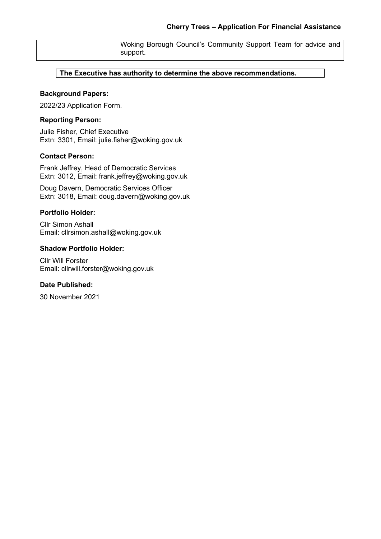Woking Borough Council's Community Support Team for advice and support.

**The Executive has authority to determine the above recommendations.**

## **Background Papers:**

2022/23 Application Form.

## **Reporting Person:**

Julie Fisher, Chief Executive Extn: 3301, Email: julie.fisher@woking.gov.uk

## **Contact Person:**

Frank Jeffrey, Head of Democratic Services Extn: 3012, Email: frank.jeffrey@woking.gov.uk

Doug Davern, Democratic Services Officer Extn: 3018, Email: doug.davern@woking.gov.uk

#### **Portfolio Holder:**

Cllr Simon Ashall Email: cllrsimon.ashall@woking.gov.uk

#### **Shadow Portfolio Holder:**

Cllr Will Forster Email: cllrwill.forster@woking.gov.uk

## **Date Published:**

30 November 2021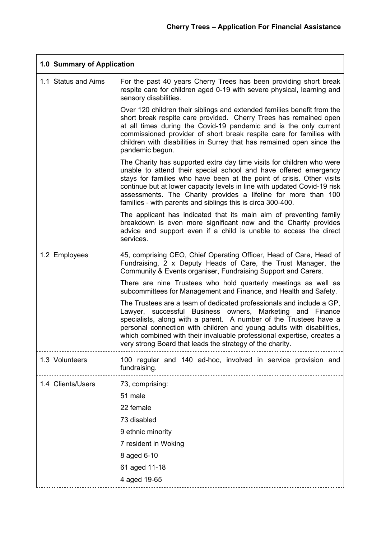$\overline{a}$ 

| 1.0 Summary of Application |                                                                                                                                                                                                                                                                                                                                                                                                                                 |
|----------------------------|---------------------------------------------------------------------------------------------------------------------------------------------------------------------------------------------------------------------------------------------------------------------------------------------------------------------------------------------------------------------------------------------------------------------------------|
| 1.1 Status and Aims        | For the past 40 years Cherry Trees has been providing short break<br>respite care for children aged 0-19 with severe physical, learning and<br>sensory disabilities.                                                                                                                                                                                                                                                            |
|                            | Over 120 children their siblings and extended families benefit from the<br>short break respite care provided. Cherry Trees has remained open<br>at all times during the Covid-19 pandemic and is the only current<br>commissioned provider of short break respite care for families with<br>children with disabilities in Surrey that has remained open since the<br>pandemic begun.                                            |
|                            | The Charity has supported extra day time visits for children who were<br>unable to attend their special school and have offered emergency<br>stays for families who have been at the point of crisis. Other visits<br>continue but at lower capacity levels in line with updated Covid-19 risk<br>assessments. The Charity provides a lifeline for more than 100<br>families - with parents and siblings this is circa 300-400. |
|                            | The applicant has indicated that its main aim of preventing family<br>breakdown is even more significant now and the Charity provides<br>advice and support even if a child is unable to access the direct<br>services.                                                                                                                                                                                                         |
| 1.2 Employees              | 45, comprising CEO, Chief Operating Officer, Head of Care, Head of<br>Fundraising, 2 x Deputy Heads of Care, the Trust Manager, the<br>Community & Events organiser, Fundraising Support and Carers.                                                                                                                                                                                                                            |
|                            | There are nine Trustees who hold quarterly meetings as well as<br>subcommittees for Management and Finance, and Health and Safety.                                                                                                                                                                                                                                                                                              |
|                            | The Trustees are a team of dedicated professionals and include a GP,<br>Lawyer, successful Business owners, Marketing and Finance<br>specialists, along with a parent. A number of the Trustees have a<br>personal connection with children and young adults with disabilities,<br>which combined with their invaluable professional expertise, creates a<br>very strong Board that leads the strategy of the charity.          |
| 1.3 Volunteers             | 100 regular and 140 ad-hoc, involved in service provision and<br>fundraising.                                                                                                                                                                                                                                                                                                                                                   |
| 1.4 Clients/Users          | 73, comprising:<br>51 male<br>22 female<br>73 disabled<br>9 ethnic minority<br>7 resident in Woking<br>8 aged 6-10<br>61 aged 11-18<br>4 aged 19-65                                                                                                                                                                                                                                                                             |
|                            |                                                                                                                                                                                                                                                                                                                                                                                                                                 |

 $\mathsf{r}$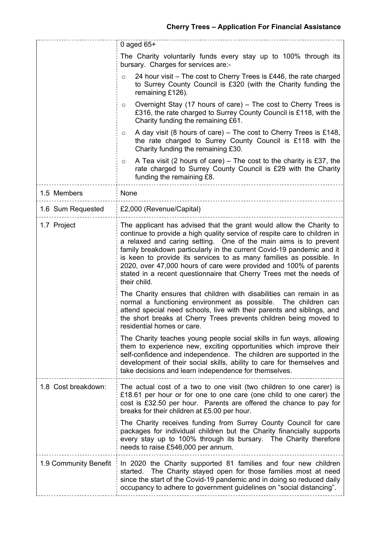|                       | 0 aged $65+$                                                                                                                                                                                                                                                                                                                                                                                                                                                                                                                     |
|-----------------------|----------------------------------------------------------------------------------------------------------------------------------------------------------------------------------------------------------------------------------------------------------------------------------------------------------------------------------------------------------------------------------------------------------------------------------------------------------------------------------------------------------------------------------|
|                       | The Charity voluntarily funds every stay up to 100% through its<br>bursary. Charges for services are:-                                                                                                                                                                                                                                                                                                                                                                                                                           |
|                       | 24 hour visit – The cost to Cherry Trees is £446, the rate charged<br>$\circ$<br>to Surrey County Council is £320 (with the Charity funding the<br>remaining £126).                                                                                                                                                                                                                                                                                                                                                              |
|                       | Overnight Stay (17 hours of care) – The cost to Cherry Trees is<br>O<br>£316, the rate charged to Surrey County Council is £118, with the<br>Charity funding the remaining £61.                                                                                                                                                                                                                                                                                                                                                  |
|                       | A day visit (8 hours of care) – The cost to Cherry Trees is £148,<br>$\circ$<br>the rate charged to Surrey County Council is £118 with the<br>Charity funding the remaining £30.                                                                                                                                                                                                                                                                                                                                                 |
|                       | A Tea visit (2 hours of care) – The cost to the charity is £37, the<br>$\circ$<br>rate charged to Surrey County Council is £29 with the Charity<br>funding the remaining £8.                                                                                                                                                                                                                                                                                                                                                     |
| 1.5 Members           | None                                                                                                                                                                                                                                                                                                                                                                                                                                                                                                                             |
| 1.6 Sum Requested     | £2,000 (Revenue/Capital)                                                                                                                                                                                                                                                                                                                                                                                                                                                                                                         |
| 1.7 Project           | The applicant has advised that the grant would allow the Charity to<br>continue to provide a high quality service of respite care to children in<br>a relaxed and caring setting. One of the main aims is to prevent<br>family breakdown particularly in the current Covid-19 pandemic and it<br>is keen to provide its services to as many families as possible. In<br>2020, over 47,000 hours of care were provided and 100% of parents<br>stated in a recent questionnaire that Cherry Trees met the needs of<br>their child. |
|                       | The Charity ensures that children with disabilities can remain in as<br>normal a functioning environment as possible.<br>The children can<br>attend special need schools, live with their parents and siblings, and<br>the short breaks at Cherry Trees prevents children being moved to<br>residential homes or care.                                                                                                                                                                                                           |
|                       | The Charity teaches young people social skills in fun ways, allowing<br>them to experience new, exciting opportunities which improve their<br>self-confidence and independence. The children are supported in the<br>development of their social skills, ability to care for themselves and<br>take decisions and learn independence for themselves.                                                                                                                                                                             |
| 1.8 Cost breakdown:   | The actual cost of a two to one visit (two children to one carer) is<br>£18.61 per hour or for one to one care (one child to one carer) the<br>cost is £32.50 per hour. Parents are offered the chance to pay for<br>breaks for their children at £5.00 per hour.                                                                                                                                                                                                                                                                |
|                       | The Charity receives funding from Surrey County Council for care<br>packages for individual children but the Charity financially supports<br>every stay up to 100% through its bursary. The Charity therefore<br>needs to raise £546,000 per annum.                                                                                                                                                                                                                                                                              |
| 1.9 Community Benefit | In 2020 the Charity supported 81 families and four new children<br>The Charity stayed open for those families most at need<br>started.<br>since the start of the Covid-19 pandemic and in doing so reduced daily<br>occupancy to adhere to government guidelines on "social distancing".                                                                                                                                                                                                                                         |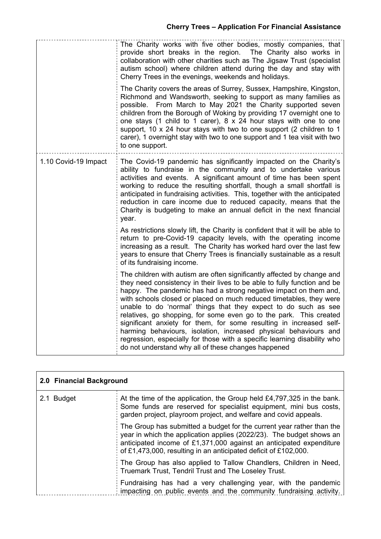|                      | The Charity works with five other bodies, mostly companies, that<br>provide short breaks in the region.<br>The Charity also works in<br>collaboration with other charities such as The Jigsaw Trust (specialist<br>autism school) where children attend during the day and stay with<br>Cherry Trees in the evenings, weekends and holidays.<br>The Charity covers the areas of Surrey, Sussex, Hampshire, Kingston,<br>Richmond and Wandsworth, seeking to support as many families as<br>possible. From March to May 2021 the Charity supported seven<br>children from the Borough of Woking by providing 17 overnight one to<br>one stays (1 child to 1 carer), 8 x 24 hour stays with one to one<br>support, 10 x 24 hour stays with two to one support (2 children to 1<br>carer), 1 overnight stay with two to one support and 1 tea visit with two<br>to one support. |
|----------------------|------------------------------------------------------------------------------------------------------------------------------------------------------------------------------------------------------------------------------------------------------------------------------------------------------------------------------------------------------------------------------------------------------------------------------------------------------------------------------------------------------------------------------------------------------------------------------------------------------------------------------------------------------------------------------------------------------------------------------------------------------------------------------------------------------------------------------------------------------------------------------|
| 1.10 Covid-19 Impact | The Covid-19 pandemic has significantly impacted on the Charity's<br>ability to fundraise in the community and to undertake various<br>activities and events. A significant amount of time has been spent<br>working to reduce the resulting shortfall, though a small shortfall is<br>anticipated in fundraising activities. This, together with the anticipated<br>reduction in care income due to reduced capacity, means that the<br>Charity is budgeting to make an annual deficit in the next financial<br>year.                                                                                                                                                                                                                                                                                                                                                       |
|                      | As restrictions slowly lift, the Charity is confident that it will be able to<br>return to pre-Covid-19 capacity levels, with the operating income<br>increasing as a result. The Charity has worked hard over the last few<br>years to ensure that Cherry Trees is financially sustainable as a result<br>of its fundraising income.                                                                                                                                                                                                                                                                                                                                                                                                                                                                                                                                        |
|                      | The children with autism are often significantly affected by change and<br>they need consistency in their lives to be able to fully function and be<br>happy. The pandemic has had a strong negative impact on them and,<br>with schools closed or placed on much reduced timetables, they were<br>unable to do 'normal' things that they expect to do such as see<br>relatives, go shopping, for some even go to the park. This created<br>significant anxiety for them, for some resulting in increased self-<br>harming behaviours, isolation, increased physical behaviours and<br>regression, especially for those with a specific learning disability who<br>do not understand why all of these changes happened                                                                                                                                                       |

| 2.0 Financial Background |                                                                                                                                                                                                                                                                                         |
|--------------------------|-----------------------------------------------------------------------------------------------------------------------------------------------------------------------------------------------------------------------------------------------------------------------------------------|
| 2.1 Budget               | At the time of the application, the Group held £4,797,325 in the bank.<br>Some funds are reserved for specialist equipment, mini bus costs,<br>garden project, playroom project, and welfare and covid appeals.                                                                         |
|                          | The Group has submitted a budget for the current year rather than the<br>year in which the application applies (2022/23). The budget shows an<br>anticipated income of £1,371,000 against an anticipated expenditure<br>of £1,473,000, resulting in an anticipated deficit of £102,000. |
|                          | The Group has also applied to Tallow Chandlers, Children in Need,<br>Truemark Trust, Tendril Trust and The Loseley Trust.                                                                                                                                                               |
|                          | Fundraising has had a very challenging year, with the pandemic<br>impacting on public events and the community fundraising activity.                                                                                                                                                    |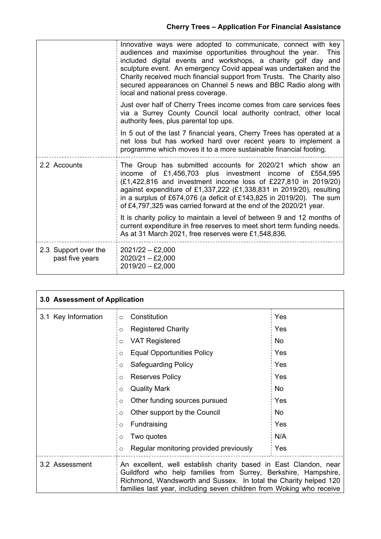|                                         | Innovative ways were adopted to communicate, connect with key<br>audiences and maximise opportunities throughout the year.<br><b>This</b><br>included digital events and workshops, a charity golf day and<br>sculpture event. An emergency Covid appeal was undertaken and the<br>Charity received much financial support from Trusts. The Charity also<br>secured appearances on Channel 5 news and BBC Radio along with<br>local and national press coverage. |
|-----------------------------------------|------------------------------------------------------------------------------------------------------------------------------------------------------------------------------------------------------------------------------------------------------------------------------------------------------------------------------------------------------------------------------------------------------------------------------------------------------------------|
|                                         | Just over half of Cherry Trees income comes from care services fees<br>via a Surrey County Council local authority contract, other local<br>authority fees, plus parental top ups.                                                                                                                                                                                                                                                                               |
|                                         | In 5 out of the last 7 financial years, Cherry Trees has operated at a<br>net loss but has worked hard over recent years to implement a<br>programme which moves it to a more sustainable financial footing.                                                                                                                                                                                                                                                     |
| 2.2 Accounts                            | The Group has submitted accounts for 2020/21 which show an<br>income of £1,456,703 plus investment income of £554,595<br>(£1,422,816 and investment income loss of £227,810 in 2019/20)<br>against expenditure of £1,337,222 (£1,338,831 in 2019/20), resulting<br>in a surplus of £674,076 (a deficit of £143,825 in 2019/20). The sum<br>of £4,797,325 was carried forward at the end of the 2020/21 year.                                                     |
|                                         | It is charity policy to maintain a level of between 9 and 12 months of<br>current expenditure in free reserves to meet short term funding needs.<br>As at 31 March 2021, free reserves were £1,548,836.                                                                                                                                                                                                                                                          |
| 2.3 Support over the<br>past five years | $2021/22 - £2,000$<br>$2020/21 - £2,000$<br>$2019/20 - £2,000$                                                                                                                                                                                                                                                                                                                                                                                                   |

| 3.0 Assessment of Application |                                                                                                                                                                                                                                                                                |     |
|-------------------------------|--------------------------------------------------------------------------------------------------------------------------------------------------------------------------------------------------------------------------------------------------------------------------------|-----|
| 3.1 Key Information           | Constitution<br>$\circ$                                                                                                                                                                                                                                                        | Yes |
|                               | <b>Registered Charity</b><br>O                                                                                                                                                                                                                                                 | Yes |
|                               | <b>VAT Registered</b><br>O                                                                                                                                                                                                                                                     | No  |
|                               | <b>Equal Opportunities Policy</b><br>$\circ$                                                                                                                                                                                                                                   | Yes |
|                               | <b>Safeguarding Policy</b><br>$\circ$                                                                                                                                                                                                                                          | Yes |
|                               | <b>Reserves Policy</b><br>$\circ$                                                                                                                                                                                                                                              | Yes |
|                               | <b>Quality Mark</b><br>O                                                                                                                                                                                                                                                       | No  |
|                               | Other funding sources pursued<br>O                                                                                                                                                                                                                                             | Yes |
|                               | Other support by the Council<br>O                                                                                                                                                                                                                                              | No  |
|                               | Fundraising<br>O                                                                                                                                                                                                                                                               | Yes |
|                               | Two quotes<br>O                                                                                                                                                                                                                                                                | N/A |
|                               | Regular monitoring provided previously<br>$\circ$                                                                                                                                                                                                                              | Yes |
| 3.2 Assessment                | An excellent, well establish charity based in East Clandon, near<br>Guildford who help families from Surrey, Berkshire, Hampshire,<br>Richmond, Wandsworth and Sussex. In total the Charity helped 120<br>families last year, including seven children from Woking who receive |     |